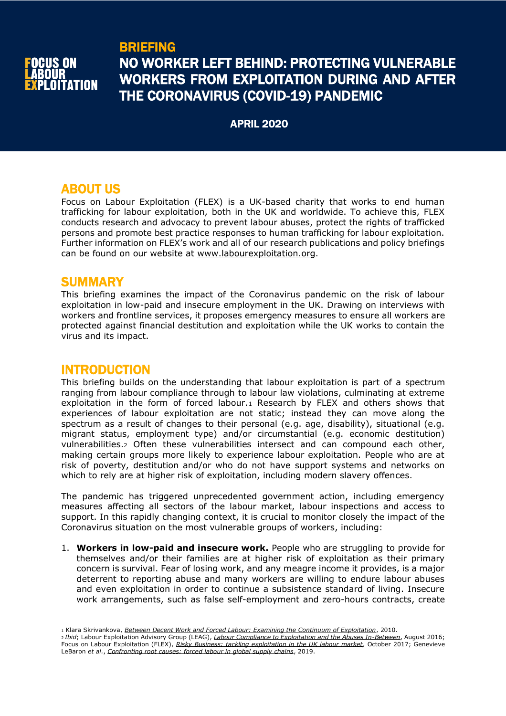

# BRIEFING NO WORKER LEFT BEHIND: PROTECTING VULNERABLE WORKERS FROM EXPLOITATION DURING AND AFTER THE CORONAVIRUS (COVID-19) PANDEMIC

APRIL 2020

# ABOUT US

Focus on Labour Exploitation (FLEX) is a UK-based charity that works to end human trafficking for labour exploitation, both in the UK and worldwide. To achieve this, FLEX conducts research and advocacy to prevent labour abuses, protect the rights of trafficked persons and promote best practice responses to human trafficking for labour exploitation. Further information on FLEX's work and all of our research publications and policy briefings can be found on our website at [www.labourexploitation.org.](http://www.labourexploitation.org/)

## **SUMMARY**

This briefing examines the impact of the Coronavirus pandemic on the risk of labour exploitation in low-paid and insecure employment in the UK. Drawing on interviews with workers and frontline services, it proposes emergency measures to ensure all workers are protected against financial destitution and exploitation while the UK works to contain the virus and its impact.

# INTRODUCTION

This briefing builds on the understanding that labour exploitation is part of a spectrum ranging from labour compliance through to labour law violations, culminating at extreme exploitation in the form of forced labour.<sup>1</sup> Research by FLEX and others shows that experiences of labour exploitation are not static; instead they can move along the spectrum as a result of changes to their personal (e.g. age, disability), situational (e.g. migrant status, employment type) and/or circumstantial (e.g. economic destitution) vulnerabilities.<sup>2</sup> Often these vulnerabilities intersect and can compound each other, making certain groups more likely to experience labour exploitation. People who are at risk of poverty, destitution and/or who do not have support systems and networks on which to rely are at higher risk of exploitation, including modern slavery offences.

The pandemic has triggered unprecedented government action, including emergency measures affecting all sectors of the labour market, labour inspections and access to support. In this rapidly changing context, it is crucial to monitor closely the impact of the Coronavirus situation on the most vulnerable groups of workers, including:

1. **Workers in low-paid and insecure work.** People who are struggling to provide for themselves and/or their families are at higher risk of exploitation as their primary concern is survival. Fear of losing work, and any meagre income it provides, is a major deterrent to reporting abuse and many workers are willing to endure labour abuses and even exploitation in order to continue a subsistence standard of living. Insecure work arrangements, such as false self-employment and zero-hours contracts, create

<sup>1</sup> Klara Skrivankova, *[Between Decent Work and Forced Labour: Examining the Continuum of Exploitation](https://www.jrf.org.uk/report/between-decent-work-and-forced-labour-examining-continuum-exploitation)*, 2010.

<sup>2</sup> *Ibid*; Labour Exploitation Advisory Group (LEAG), *[Labour Compliance to Exploitation and the Abuses In-Between](https://www.labourexploitation.org/publications/labour-exploitation-advisory-group-leag-position-paper-labour-compliance-exploitation)*, August 2016; Focus on Labour Exploitation (FLEX), *[Risky Business: tackling exploitation in the UK labour market,](https://www.labourexploitation.org/publications/risky-business-tackling-exploitation-uk-labour-market)* October 2017; Genevieve LeBaron *et al.*, *[Confronting root causes: forced labour in global supply chains](https://www.opendemocracy.net/en/beyond-trafficking-and-slavery/confronting-root-causes/)*, 2019.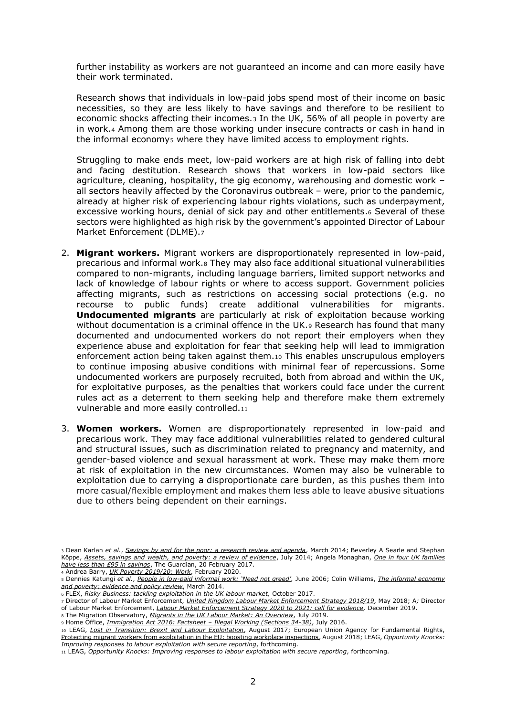further instability as workers are not guaranteed an income and can more easily have their work terminated.

Research shows that individuals in low-paid jobs spend most of their income on basic necessities, so they are less likely to have savings and therefore to be resilient to economic shocks affecting their incomes.<sup>3</sup> In the UK, 56% of all people in poverty are in work.<sup>4</sup> Among them are those working under insecure contracts or cash in hand in the informal economys where they have limited access to employment rights.

Struggling to make ends meet, low-paid workers are at high risk of falling into debt and facing destitution. Research shows that workers in low-paid sectors like agriculture, cleaning, hospitality, the gig economy, warehousing and domestic work – all sectors heavily affected by the Coronavirus outbreak – were, prior to the pandemic, already at higher risk of experiencing labour rights violations, such as underpayment, excessive working hours, denial of sick pay and other entitlements.<sup>6</sup> Several of these sectors were highlighted as high risk by the government's appointed Director of Labour Market Enforcement (DLME).<sup>7</sup>

- 2. **Migrant workers.** Migrant workers are disproportionately represented in low-paid, precarious and informal work.<sup>8</sup> They may also face additional situational vulnerabilities compared to non-migrants, including language barriers, limited support networks and lack of knowledge of labour rights or where to access support. Government policies affecting migrants, such as restrictions on accessing social protections (e.g. no recourse to public funds) create additional vulnerabilities for migrants. **Undocumented migrants** are particularly at risk of exploitation because working without documentation is a criminal offence in the UK.<sup>9</sup> Research has found that many documented and undocumented workers do not report their employers when they experience abuse and exploitation for fear that seeking help will lead to immigration enforcement action being taken against them.<sup>10</sup> This enables unscrupulous employers to continue imposing abusive conditions with minimal fear of repercussions. Some undocumented workers are purposely recruited, both from abroad and within the UK, for exploitative purposes, as the penalties that workers could face under the current rules act as a deterrent to them seeking help and therefore make them extremely vulnerable and more easily controlled.<sup>11</sup>
- 3. **Women workers.** Women are disproportionately represented in low-paid and precarious work. They may face additional vulnerabilities related to gendered cultural and structural issues, such as discrimination related to pregnancy and maternity, and gender-based violence and sexual harassment at work. These may make them more at risk of exploitation in the new circumstances. Women may also be vulnerable to exploitation due to carrying a disproportionate care burden, as this pushes them into more casual/flexible employment and makes them less able to leave abusive situations due to others being dependent on their earnings.

<sup>6</sup> FLEX, *[Risky Business: tackling exploitation in the UK labour market,](https://www.labourexploitation.org/publications/risky-business-tackling-exploitation-uk-labour-market)* October 2017.

<sup>9</sup> Home Office, *[Immigration Act 2016: Factsheet](https://assets.publishing.service.gov.uk/government/uploads/system/uploads/attachment_data/file/537205/Immigration_Act_-_Part_1_-_Illegal_Working.pdf) – Illegal Working (Sections 34-38)*, July 2016.

<sup>10</sup> LEAG, *[Lost in Transition: Brexit and Labour Exploitation](https://www.labourexploitation.org/publications/lost-transition-brexit-labour-exploitation)*, August 2017; European Union Agency for Fundamental Rights, [Protecting migrant workers from exploitation in the EU: boosting workplace inspections,](https://fra.europa.eu/en/publication/2018/protecting-migrant-workers-exploitation-eu-boosting-workplace-inspections) August 2018; LEAG, *Opportunity Knocks: Improving responses to labour exploitation with secure reporting*, forthcoming.

<sup>3</sup> Dean Karlan *et al.*, *[Savings by and for the poor: a research review and agenda](https://onlinelibrary.wiley.com/doi/pdf/10.1111/roiw.12101)*, March 2014; Beverley A Searle and Stephan Köppe, *[Assets, savings and wealth, and poverty: a review of evidence](https://www.bristol.ac.uk/media-library/sites/geography/pfrc/pfrc1405-assets-savings-wealth-poverty.pdf)*, July 2014; Angela Monaghan, *[One in four UK families](https://www.theguardian.com/society/2017/feb/20/one-in-four-uk-families-have-less-than-95-in-savings-report-finds)  [have less than £95 in savings](https://www.theguardian.com/society/2017/feb/20/one-in-four-uk-families-have-less-than-95-in-savings-report-finds)*, The Guardian, 20 February 2017.

<sup>4</sup> Andrea Barry, *[UK Poverty 2019/20: Work](https://www.jrf.org.uk/report/uk-poverty-2019-20-work)*, February 2020.

<sup>5</sup> Dennies Katungi *et al.*, *People in low-[paid informal work: 'Need not greed'](https://www.jrf.org.uk/sites/default/files/jrf/migrated/files/9781861348937.pdf),* June 2006; Colin Williams, *The informal economy and poverty: evidence and policy review*, March 2014.

<sup>7</sup> Director of Labour Market Enforcement, *[United Kingdom Labour Market Enforcement Strategy 2018/19,](https://assets.publishing.service.gov.uk/government/uploads/system/uploads/attachment_data/file/705503/labour-market-enforcement-strategy-2018-2019-full-report.pdf)* May 2018; A*;* Director of Labour Market Enforcement, *[Labour Market Enforcement Strategy 2020 to 2021: call for evidence,](https://www.gov.uk/government/consultations/labour-market-enforcement-strategy-2020-to-2021-call-for-evidence)* December 2019. <sup>8</sup> The Migration Observatory, *[Migrants in the UK Labour Market: An Overview](https://migrationobservatory.ox.ac.uk/resources/briefings/migrants-in-the-uk-labour-market-an-overview/)*, July 2019.

<sup>11</sup> LEAG, *Opportunity Knocks: Improving responses to labour exploitation with secure reporting*, forthcoming.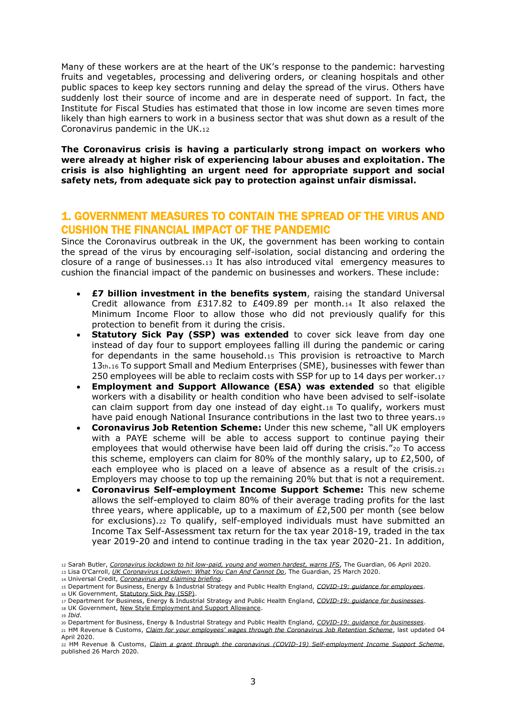Many of these workers are at the heart of the UK's response to the pandemic: harvesting fruits and vegetables, processing and delivering orders, or cleaning hospitals and other public spaces to keep key sectors running and delay the spread of the virus. Others have suddenly lost their source of income and are in desperate need of support. In fact, the Institute for Fiscal Studies has estimated that those in low income are seven times more likely than high earners to work in a business sector that was shut down as a result of the Coronavirus pandemic in the UK.<sup>12</sup>

**The Coronavirus crisis is having a particularly strong impact on workers who were already at higher risk of experiencing labour abuses and exploitation. The crisis is also highlighting an urgent need for appropriate support and social safety nets, from adequate sick pay to protection against unfair dismissal.** 

## 1. GOVERNMENT MEASURES TO CONTAIN THE SPREAD OF THE VIRUS AND CUSHION THE FINANCIAL IMPACT OF THE PANDEMIC

Since the Coronavirus outbreak in the UK, the government has been working to contain the spread of the virus by encouraging self-isolation, social distancing and ordering the closure of a range of businesses.<sup>13</sup> It has also introduced vital emergency measures to cushion the financial impact of the pandemic on businesses and workers. These include:

- **£7 billion investment in the benefits system**, raising the standard Universal Credit allowance from £317.82 to £409.89 per month.14 It also relaxed the Minimum Income Floor to allow those who did not previously qualify for this protection to benefit from it during the crisis.
- **Statutory Sick Pay (SSP) was extended** to cover sick leave from day one instead of day four to support employees falling ill during the pandemic or caring for dependants in the same household.<sup>15</sup> This provision is retroactive to March 13th.<sup>16</sup> To support Small and Medium Enterprises (SME), businesses with fewer than 250 employees will be able to reclaim costs with SSP for up to 14 days per worker.<sup>17</sup>
- **Employment and Support Allowance (ESA) was extended** so that eligible workers with a disability or health condition who have been advised to self-isolate can claim support from day one instead of day eight.<sup>18</sup> To qualify, workers must have paid enough National Insurance contributions in the last two to three years.<sup>19</sup>
- **Coronavirus Job Retention Scheme:** Under this new scheme, "all UK employers with a PAYE scheme will be able to access support to continue paying their employees that would otherwise have been laid off during the crisis."<sup>20</sup> To access this scheme, employers can claim for 80% of the monthly salary, up to £2,500, of each employee who is placed on a leave of absence as a result of the crisis.<sup>21</sup> Employers may choose to top up the remaining 20% but that is not a requirement.
- **Coronavirus Self-employment Income Support Scheme:** This new scheme allows the self-employed to claim 80% of their average trading profits for the last three years, where applicable, up to a maximum of  $£2,500$  per month (see below for exclusions).<sup>22</sup> To qualify, self-employed individuals must have submitted an Income Tax Self-Assessment tax return for the tax year 2018-19, traded in the tax year 2019-20 and intend to continue trading in the tax year 2020-21. In addition,

<sup>19</sup> *Ibid*.

<sup>12</sup> Sarah Butler, *[Coronavirus lockdown to hit low-paid, young and women hardest, warns IFS](https://www.theguardian.com/business/2020/apr/06/coronavirus-lockdown-to-hit-low-paid-young-and-women-hardest-warns-ifs)*, The Guardian, 06 April 2020.

<sup>13</sup> Lisa O'Carroll, *[UK Coronavirus Lockdown: What You Can And Cannot Do](https://www.theguardian.com/world/2020/mar/25/uk-coronavirus-lockdown-rules-what-you-can-and-cannot-do)*, The Guardian, 25 March 2020.

<sup>14</sup> Universal Credit, *[Coronavirus and claiming briefing](https://www.understandinguniversalcredit.gov.uk/coronavirus/)*.

<sup>15</sup> Department for Business, Energy & Industrial Strategy and Public Health England, *[COVID-19: guidance for employees](https://www.gov.uk/government/publications/guidance-to-employers-and-businesses-about-covid-19/covid-19-guidance-for-employees)*.

<sup>16</sup> UK Government, [Statutory Sick Pay \(SSP\).](https://www.gov.uk/statutory-sick-pay)

<sup>17</sup> Department for Business, Energy & Industrial Strategy and Public Health England, *[COVID-19: guidance for businesses](https://www.gov.uk/government/publications/guidance-to-employers-and-businesses-about-covid-19/covid-19-support-for-businesses)*.

<sup>18</sup> UK Government, [New Style Employment and Support Allowance.](https://www.gov.uk/guidance/new-style-employment-and-support-allowance)

<sup>20</sup> Department for Business, Energy & Industrial Strategy and Public Health England, *[COVID-19: guidance for businesses](https://www.gov.uk/government/publications/guidance-to-employers-and-businesses-about-covid-19/covid-19-support-for-businesses)*.

<sup>21</sup> HM Revenue & Customs, *Claim for your employees' wages through the Coronavirus Job Retention Scheme*, last updated 04 April 2020.

<sup>22</sup> HM Revenue & Customs, *[Claim a grant through the coronavirus \(COVID-19\) Self-employment Income Support Scheme](https://www.gov.uk/guidance/claim-a-grant-through-the-coronavirus-covid-19-self-employment-income-support-scheme)*, published 26 March 2020.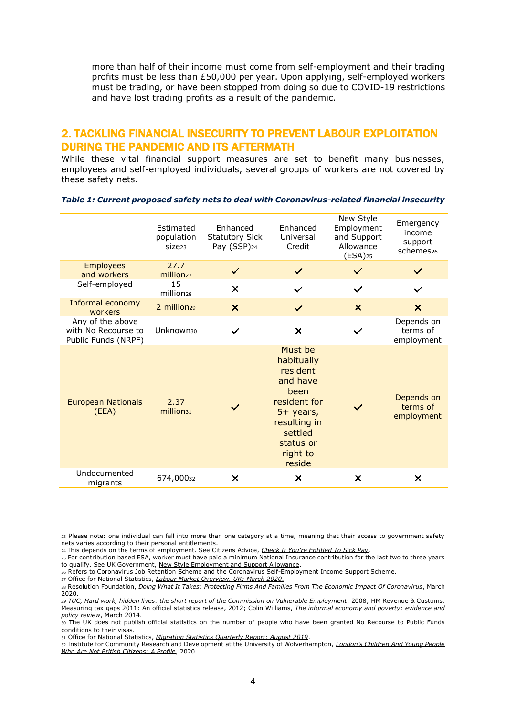more than half of their income must come from self-employment and their trading profits must be less than £50,000 per year. Upon applying, self-employed workers must be trading, or have been stopped from doing so due to COVID-19 restrictions and have lost trading profits as a result of the pandemic.

### 2. TACKLING FINANCIAL INSECURITY TO PREVENT LABOUR EXPLOITATION DURING THE PANDEMIC AND ITS AFTERMATH

While these vital financial support measures are set to benefit many businesses, employees and self-employed individuals, several groups of workers are not covered by these safety nets.

|                                                                | <b>Fstimated</b><br>population<br>Size <sub>23</sub> | Enhanced<br><b>Statutory Sick</b><br>Pay (SSP) <sub>24</sub> | Enhanced<br>Universal<br>Credit                                                                                                                  | New Style<br>Employment<br>and Support<br>Allowance<br>$(ESA)$ <sub>25</sub> | Emergency<br>income<br>support<br>schemes <sub>26</sub> |
|----------------------------------------------------------------|------------------------------------------------------|--------------------------------------------------------------|--------------------------------------------------------------------------------------------------------------------------------------------------|------------------------------------------------------------------------------|---------------------------------------------------------|
| <b>Employees</b><br>and workers                                | 27.7<br>million <sub>27</sub>                        | $\checkmark$                                                 | $\checkmark$                                                                                                                                     | $\checkmark$                                                                 |                                                         |
| Self-employed                                                  | 15<br>million <sub>28</sub>                          | $\boldsymbol{\mathsf{x}}$                                    | $\checkmark$                                                                                                                                     | $\checkmark$                                                                 | $\checkmark$                                            |
| Informal economy<br>workers                                    | 2 million <sub>29</sub>                              | $\boldsymbol{\times}$                                        | $\checkmark$                                                                                                                                     | $\boldsymbol{\mathsf{x}}$                                                    | $\boldsymbol{\mathsf{x}}$                               |
| Any of the above<br>with No Recourse to<br>Public Funds (NRPF) | Unknown <sub>30</sub>                                |                                                              | $\times$                                                                                                                                         |                                                                              | Depends on<br>terms of<br>employment                    |
| <b>European Nationals</b><br>(EEA)                             | 2.37<br>million <sub>31</sub>                        |                                                              | Must be<br>habitually<br>resident<br>and have<br>been<br>resident for<br>5+ years,<br>resulting in<br>settled<br>status or<br>right to<br>reside |                                                                              | Depends on<br>terms of<br>employment                    |
| Undocumented<br>migrants                                       | 674,00032                                            | ×                                                            | ×                                                                                                                                                | $\boldsymbol{\mathsf{x}}$                                                    | $\boldsymbol{\mathsf{x}}$                               |

#### *Table 1: Current proposed safety nets to deal with Coronavirus-related financial insecurity*

<sup>23</sup> Please note: one individual can fall into more than one category at a time, meaning that their access to government safety nets varies according to their personal entitlements.

<sup>24</sup> This depends on the terms of employment. See Citizens Advice, *[Check If You're Entitled To Sick Pay](https://www.citizensadvice.org.uk/work/rights-at-work/sick-pay/check-if-youre-entitled-to-sick-pay/%3e)*.

<sup>25</sup> For contribution based ESA, worker must have paid a minimum National Insurance contribution for the last two to three years to qualify. See UK Government[, New Style Employment and Support Allowance.](https://www.gov.uk/guidance/new-style-employment-and-support-allowance)

<sup>26</sup> Refers to Coronavirus Job Retention Scheme and the Coronavirus Self-Employment Income Support Scheme.

<sup>27</sup> Office for National Statistics, *[Labour Market Overview, UK: March 2020](https://www.ons.gov.uk/employmentandlabourmarket/peopleinwork/employmentandemployeetypes/bulletins/uklabourmarket/march2020)*.

<sup>28</sup> Resolution Foundation, *[Doing What It Takes: Protecting Firms And Families From The Economic Impact Of Coronavirus](https://www.resolutionfoundation.org/app/uploads/2020/03/Doing-what-it-takes.pdf)*, March 2020.

*<sup>29</sup> TUC[, Hard work, hidden lives: the short report of the Commission on Vulnerable Employment](https://www.tuc.org.uk/publications/hard-work-hidden-lives-short-report-commission-vulnerable-employment)*, 2008; HM Revenue & Customs, Measuring tax gaps 2011: An official statistics release, 2012; Colin Williams, *The informal economy and poverty: evidence and policy review*, March 2014.

<sup>30</sup> The UK does not publish official statistics on the number of people who have been granted No Recourse to Public Funds conditions to their visas.

<sup>31</sup> Office for National Statistics, *[Migration Statistics Quarterly Report: August 2019](https://www.ons.gov.uk/peoplepopulationandcommunity/populationandmigration/internationalmigration/bulletins/migrationstatisticsquarterlyreport/august2019)*.

<sup>32</sup> Institute for Community Research and Development at the University of Wolverhampton, *[London's Children And Young People](https://trustforlondon.fra1.digitaloceanspaces.com/media/documents/Summary_Londons_Children_and_Young_People_Who_Are_Not_British_Citizens.pdf)  [Who Are Not British Citizens: A Profile](https://trustforlondon.fra1.digitaloceanspaces.com/media/documents/Summary_Londons_Children_and_Young_People_Who_Are_Not_British_Citizens.pdf)*, 2020.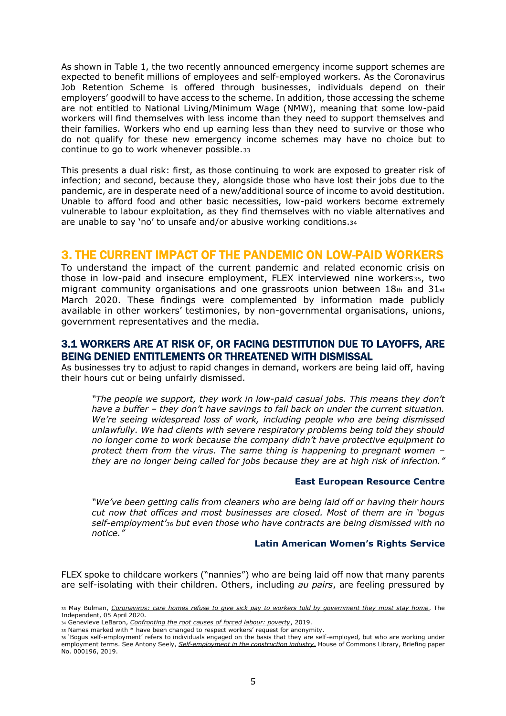As shown in Table 1, the two recently announced emergency income support schemes are expected to benefit millions of employees and self-employed workers. As the Coronavirus Job Retention Scheme is offered through businesses, individuals depend on their employers' goodwill to have access to the scheme. In addition, those accessing the scheme are not entitled to National Living/Minimum Wage (NMW), meaning that some low-paid workers will find themselves with less income than they need to support themselves and their families. Workers who end up earning less than they need to survive or those who do not qualify for these new emergency income schemes may have no choice but to continue to go to work whenever possible.<sup>33</sup>

This presents a dual risk: first, as those continuing to work are exposed to greater risk of infection; and second, because they, alongside those who have lost their jobs due to the pandemic, are in desperate need of a new/additional source of income to avoid destitution. Unable to afford food and other basic necessities, low-paid workers become extremely vulnerable to labour exploitation, as they find themselves with no viable alternatives and are unable to say 'no' to unsafe and/or abusive working conditions.<sup>34</sup>

### 3. THE CURRENT IMPACT OF THE PANDEMIC ON LOW-PAID WORKERS

To understand the impact of the current pandemic and related economic crisis on those in low-paid and insecure employment, FLEX interviewed nine workers35, two migrant community organisations and one grassroots union between  $18<sub>th</sub>$  and  $31<sub>st</sub>$ March 2020. These findings were complemented by information made publicly available in other workers' testimonies, by non-governmental organisations, unions, government representatives and the media.

### 3.1 WORKERS ARE AT RISK OF, OR FACING DESTITUTION DUE TO LAYOFFS, ARE BEING DENIED ENTITLEMENTS OR THREATENED WITH DISMISSAL

As businesses try to adjust to rapid changes in demand, workers are being laid off, having their hours cut or being unfairly dismissed.

*"The people we support, they work in low-paid casual jobs. This means they don't have a buffer – they don't have savings to fall back on under the current situation. We're seeing widespread loss of work, including people who are being dismissed unlawfully. We had clients with severe respiratory problems being told they should no longer come to work because the company didn't have protective equipment to protect them from the virus. The same thing is happening to pregnant women – they are no longer being called for jobs because they are at high risk of infection."*

#### **East European Resource Centre**

*"We've been getting calls from cleaners who are being laid off or having their hours cut now that offices and most businesses are closed. Most of them are in 'bogus self-employment'<sup>36</sup> but even those who have contracts are being dismissed with no notice."*

#### **Latin American Women's Rights Service**

FLEX spoke to childcare workers ("nannies") who are being laid off now that many parents are self-isolating with their children. Others, including *au pairs*, are feeling pressured by

<sup>33</sup> May Bulman, *[Coronavirus: care homes refuse to give sick pay to workers told by government they must stay home](https://www.independent.co.uk/news/uk/home-news/coronavirus-sick-pay-care-homes-staff-statutory-workers-shielding-vulnerable-a9446731.html)*, The Independent, 05 April 2020.

<sup>34</sup> Genevieve LeBaron, *[Confronting the root causes of forced labour: poverty](https://www.opendemocracy.net/en/beyond-trafficking-and-slavery/confronting-root-causes-of-forced-labour-poverty/)*, 2019.

<sup>35</sup> Names marked with \* have been changed to respect workers' request for anonymity.

<sup>36</sup> 'Bogus self-employment' refers to individuals engaged on the basis that they are self-employed, but who are working under employment terms. See Antony Seely, *[Self-employment in the construction industry,](http://researchbriefings.parliament.uk/ResearchBriefing/Summary/SN00196)* House of Commons Library, Briefing paper No. 000196, 2019.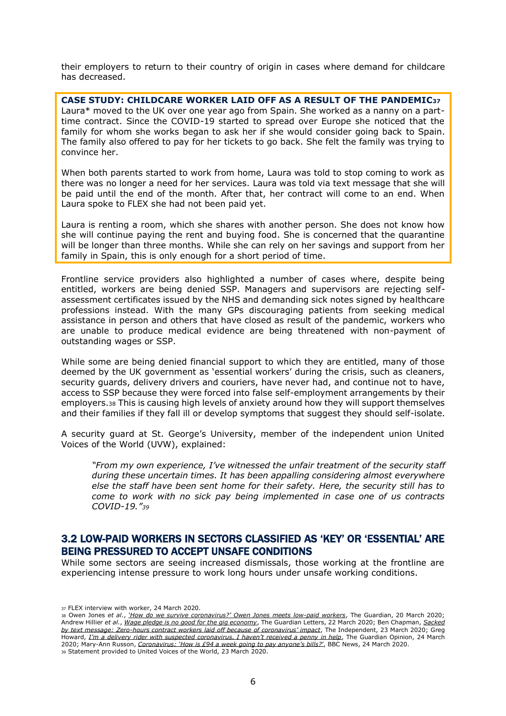their employers to return to their country of origin in cases where demand for childcare has decreased.

**CASE STUDY: CHILDCARE WORKER LAID OFF AS A RESULT OF THE PANDEMIC<sup>37</sup>** Laura\* moved to the UK over one year ago from Spain. She worked as a nanny on a parttime contract. Since the COVID-19 started to spread over Europe she noticed that the family for whom she works began to ask her if she would consider going back to Spain. The family also offered to pay for her tickets to go back. She felt the family was trying to convince her.

When both parents started to work from home, Laura was told to stop coming to work as there was no longer a need for her services. Laura was told via text message that she will be paid until the end of the month. After that, her contract will come to an end. When Laura spoke to FLEX she had not been paid yet.

Laura is renting a room, which she shares with another person. She does not know how she will continue paying the rent and buying food. She is concerned that the quarantine will be longer than three months. While she can rely on her savings and support from her family in Spain, this is only enough for a short period of time.

Frontline service providers also highlighted a number of cases where, despite being entitled, workers are being denied SSP. Managers and supervisors are rejecting selfassessment certificates issued by the NHS and demanding sick notes signed by healthcare professions instead. With the many GPs discouraging patients from seeking medical assistance in person and others that have closed as result of the pandemic, workers who are unable to produce medical evidence are being threatened with non-payment of outstanding wages or SSP.

While some are being denied financial support to which they are entitled, many of those deemed by the UK government as 'essential workers' during the crisis, such as cleaners, security guards, delivery drivers and couriers, have never had, and continue not to have, access to SSP because they were forced into false self-employment arrangements by their employers.<sup>38</sup> This is causing high levels of anxiety around how they will support themselves and their families if they fall ill or develop symptoms that suggest they should self-isolate.

A security guard at St. George's University, member of the independent union United Voices of the World (UVW), explained:

*"From my own experience, I've witnessed the unfair treatment of the security staff during these uncertain times. It has been appalling considering almost everywhere else the staff have been sent home for their safety. Here, the security still has to come to work with no sick pay being implemented in case one of us contracts COVID-19."<sup>39</sup>*

### 3.2 LOW-PAID WORKERS IN SECTORS CLASSIFIED AS 'KEY' OR 'ESSENTIAL' ARE BEING PRESSURED TO ACCEPT UNSAFE CONDITIONS

While some sectors are seeing increased dismissals, those working at the frontline are experiencing intense pressure to work long hours under unsafe working conditions.

<sup>37</sup> FLEX interview with worker, 24 March 2020.

<sup>38</sup> Owen Jones *et al.*, *['How do we survive coronavirus?' Owen Jones meets low](https://www.theguardian.com/global/video/2020/mar/20/how-do-we-survive-coronavirus-owen-jones-meets-low-paid-workers-video)-paid workers*, The Guardian, 20 March 2020; Andrew Hillier *et al.*, *[Wage pledge is no good for the gig economy](https://www.theguardian.com/world/2020/mar/22/wage-pledge-is-no-good-for-the-gig-economy)*, The Guardian Letters, 22 March 2020; Ben Chapman, *[Sacked](https://www.independent.co.uk/news/business/news/coronavirus-zero-hours-contract-workers-laid-off-text-a9419261.html)  by text message: Zero-[hours contract workers laid off because of coronavirus' impact](https://www.independent.co.uk/news/business/news/coronavirus-zero-hours-contract-workers-laid-off-text-a9419261.html)*, The Independent, 23 March 2020; Greg Howard, *[I'm a delivery rider with suspected coronavirus. I haven't received a penny in help](https://www.theguardian.com/commentisfree/2020/mar/24/deliveroo-driver-coronavirus-help-contract-government-hardship-fund)*, The Guardian Opinion, 24 March 2020; Mary-Ann Russon, *[Coronavirus: 'How is £94 a week going to pay anyone's bills?'](https://www.bbc.co.uk/news/business-52005581?at_custom1=%5Bpost+type%5D&at_custom2=twitter&at_custom4=F4601502-6DB2-11EA-B544-BA024844363C&at_custom3=%40BBCNews&at_medium=custom7&at_campaign=64)*, BBC News, 24 March 2020. <sup>39</sup> Statement provided to United Voices of the World, 23 March 2020.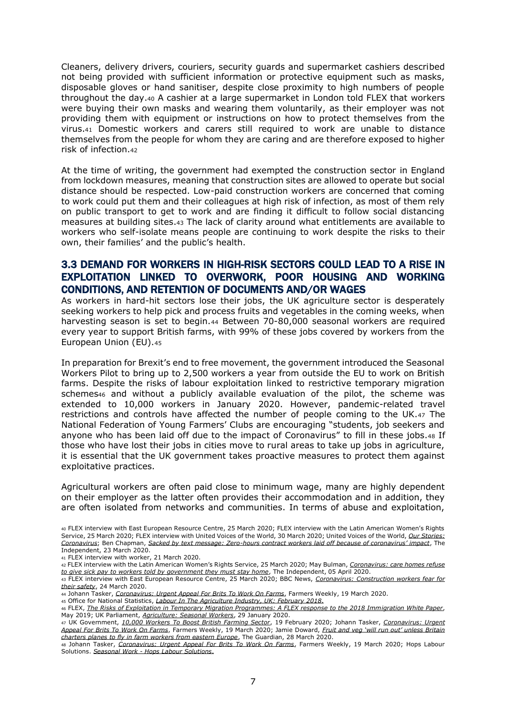Cleaners, delivery drivers, couriers, security guards and supermarket cashiers described not being provided with sufficient information or protective equipment such as masks, disposable gloves or hand sanitiser, despite close proximity to high numbers of people throughout the day.<sup>40</sup> A cashier at a large supermarket in London told FLEX that workers were buying their own masks and wearing them voluntarily, as their employer was not providing them with equipment or instructions on how to protect themselves from the virus.<sup>41</sup> Domestic workers and carers still required to work are unable to distance themselves from the people for whom they are caring and are therefore exposed to higher risk of infection.<sup>42</sup>

At the time of writing, the government had exempted the construction sector in England from lockdown measures, meaning that construction sites are allowed to operate but social distance should be respected. Low-paid construction workers are concerned that coming to work could put them and their colleagues at high risk of infection, as most of them rely on public transport to get to work and are finding it difficult to follow social distancing measures at building sites.<sup>43</sup> The lack of clarity around what entitlements are available to workers who self-isolate means people are continuing to work despite the risks to their own, their families' and the public's health.

### 3.3 DEMAND FOR WORKERS IN HIGH-RISK SECTORS COULD LEAD TO A RISE IN EXPLOITATION LINKED TO OVERWORK, POOR HOUSING AND WORKING CONDITIONS, AND RETENTION OF DOCUMENTS AND/OR WAGES

As workers in hard-hit sectors lose their jobs, the UK agriculture sector is desperately seeking workers to help pick and process fruits and vegetables in the coming weeks, when harvesting season is set to begin.<sup>44</sup> Between 70-80,000 seasonal workers are required every year to support British farms, with 99% of these jobs covered by workers from the European Union (EU).<sup>45</sup>

In preparation for Brexit's end to free movement, the government introduced the Seasonal Workers Pilot to bring up to 2,500 workers a year from outside the EU to work on British farms. Despite the risks of labour exploitation linked to restrictive temporary migration schemes<sup>46</sup> and without a publicly available evaluation of the pilot, the scheme was extended to 10,000 workers in January 2020. However, pandemic-related travel restrictions and controls have affected the number of people coming to the UK.<sup>47</sup> The National Federation of Young Farmers' Clubs are encouraging "students, job seekers and anyone who has been laid off due to the impact of Coronavirus" to fill in these jobs.<sup>48</sup> If those who have lost their jobs in cities move to rural areas to take up jobs in agriculture, it is essential that the UK government takes proactive measures to protect them against exploitative practices.

Agricultural workers are often paid close to minimum wage, many are highly dependent on their employer as the latter often provides their accommodation and in addition, they are often isolated from networks and communities. In terms of abuse and exploitation,

<sup>41</sup> FLEX interview with worker, 21 March 2020.

<sup>42</sup> FLEX interview with the Latin American Women's Rights Service, 25 March 2020; May Bulman, *[Coronavirus: care homes refuse](https://www.independent.co.uk/news/uk/home-news/coronavirus-sick-pay-care-homes-staff-statutory-workers-shielding-vulnerable-a9446731.html)  [to give sick pay to workers told by government they must stay home](https://www.independent.co.uk/news/uk/home-news/coronavirus-sick-pay-care-homes-staff-statutory-workers-shielding-vulnerable-a9446731.html)*, The Independent, 05 April 2020.

<sup>43</sup> FLEX interview with East European Resource Centre, 25 March 2020; BBC News, *[Coronavirus: Construction workers fear for](https://www.bbc.co.uk/news/business-52017520)  [their safety](https://www.bbc.co.uk/news/business-52017520)*, 24 March 2020.

- <sup>44</sup> Johann Tasker, *[Coronavirus: Urgent Appeal For Brits To Work On Farms](https://www.fwi.co.uk/business/coronavirus-urgent-appeal-for-brits-to-work-on-farms)*, Farmers Weekly, 19 March 2020.
- <sup>45</sup> Office for National Statistics, *[Labour In The Agriculture Industry, UK: February 2018](https://www.ons.gov.uk/peoplepopulationandcommunity/populationandmigration/internationalmigration/articles/labourintheagricultureindustry/2018-02-06)*.
- <sup>46</sup> FLEX, *[The Risks of Exploitation in Temporary Migration Programmes: A FLEX response to the 2018 Immigration White Paper](https://www.labourexploitation.org/publications/risks-exploitation-temporary-migration-programmes-flex-response-2018-immigration-white)*, May 2019; UK Parliament, *[Agriculture: Seasonal Workers](https://www.theyworkforyou.com/wrans/?id=2020-01-24.7662.h&s=%22seasonal+workers+pilot%22#g7662.q0)*, 29 January 2020.

<sup>47</sup> UK Government, *[10,000 Workers To Boost British Farming Sector](https://www.gov.uk/government/news/10000-workers-to-boost-british-farming-sector)*, 19 February 2020; Johann Tasker, *[Coronavirus: Urgent](https://www.fwi.co.uk/business/coronavirus-urgent-appeal-for-brits-to-work-on-farms)  [Appeal For Brits To Work On Farms](https://www.fwi.co.uk/business/coronavirus-urgent-appeal-for-brits-to-work-on-farms)*, Farmers Weekly, 19 March 2020; Jamie Doward, *[Fruit and veg 'will run out' unless Britain](https://www.theguardian.com/environment/2020/mar/28/fruit-and-veg-will-run-out-unless-britain-charters-planes-to-fly-in-farm-workers-from-eastern-europe)  [charters planes to fly in farm workers from eastern Europe](https://www.theguardian.com/environment/2020/mar/28/fruit-and-veg-will-run-out-unless-britain-charters-planes-to-fly-in-farm-workers-from-eastern-europe)*, The Guardian, 28 March 2020.

<sup>48</sup> Johann Tasker, *[Coronavirus: Urgent Appeal For Brits To Work On Farms](https://www.fwi.co.uk/business/coronavirus-urgent-appeal-for-brits-to-work-on-farms)*, Farmers Weekly, 19 March 2020; Hops Labour Solutions. *Seasonal Work - [Hops Labour Solutions](http://hopslaboursolutions.com/seasonal-work/)*.

<sup>40</sup> FLEX interview with East European Resource Centre, 25 March 2020; FLEX interview with the Latin American Women's Rights Service, 25 March 2020; FLEX interview with United Voices of the World, 30 March 2020; United Voices of the World, *[Our Stories:](https://www.uvwunion.org.uk/workers-stories-covid)  [Coronavirus](https://www.uvwunion.org.uk/workers-stories-covid)*; Ben Chapman, *Sacked by text message: Zero-[hours contract workers laid off because of coronavirus' impact](https://www.independent.co.uk/news/business/news/coronavirus-zero-hours-contract-workers-laid-off-text-a9419261.html)*, The Independent, 23 March 2020.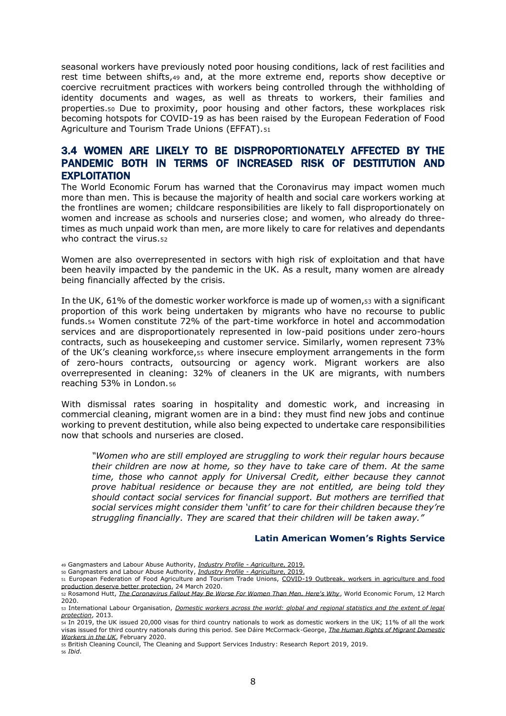seasonal workers have previously noted poor housing conditions, lack of rest facilities and rest time between shifts,<sup>49</sup> and, at the more extreme end, reports show deceptive or coercive recruitment practices with workers being controlled through the withholding of identity documents and wages, as well as threats to workers, their families and properties.<sup>50</sup> Due to proximity, poor housing and other factors, these workplaces risk becoming hotspots for COVID-19 as has been raised by the European Federation of Food Agriculture and Tourism Trade Unions (EFFAT).<sup>51</sup>

### 3.4 WOMEN ARE LIKELY TO BE DISPROPORTIONATELY AFFECTED BY THE PANDEMIC BOTH IN TERMS OF INCREASED RISK OF DESTITUTION AND **EXPLOITATION**

The World Economic Forum has warned that the Coronavirus may impact women much more than men. This is because the majority of health and social care workers working at the frontlines are women; childcare responsibilities are likely to fall disproportionately on women and increase as schools and nurseries close; and women, who already do threetimes as much unpaid work than men, are more likely to care for relatives and dependants who contract the virus.<sub>52</sub>

Women are also overrepresented in sectors with high risk of exploitation and that have been heavily impacted by the pandemic in the UK. As a result, many women are already being financially affected by the crisis.

In the UK, 61% of the domestic worker workforce is made up of women,<sup>53</sup> with a significant proportion of this work being undertaken by migrants who have no recourse to public funds.<sup>54</sup> Women constitute 72% of the part-time workforce in hotel and accommodation services and are disproportionately represented in low-paid positions under zero-hours contracts, such as housekeeping and customer service. Similarly, women represent 73% of the UK's cleaning workforce,<sup>55</sup> where insecure employment arrangements in the form of zero-hours contracts, outsourcing or agency work. Migrant workers are also overrepresented in cleaning: 32% of cleaners in the UK are migrants, with numbers reaching 53% in London.<sup>56</sup>

With dismissal rates soaring in hospitality and domestic work, and increasing in commercial cleaning, migrant women are in a bind: they must find new jobs and continue working to prevent destitution, while also being expected to undertake care responsibilities now that schools and nurseries are closed.

*"Women who are still employed are struggling to work their regular hours because their children are now at home, so they have to take care of them. At the same time, those who cannot apply for Universal Credit, either because they cannot prove habitual residence or because they are not entitled, are being told they should contact social services for financial support. But mothers are terrified that social services might consider them 'unfit' to care for their children because they're struggling financially. They are scared that their children will be taken away."*

#### **Latin American Women's Rights Service**

<sup>49</sup> Gangmasters and Labour Abuse Authority, *[Industry Profile -](https://www.gla.gov.uk/media/5069/industry-profile-agriculture.pdf) Agriculture*, 2019.

<sup>50</sup> Gangmasters and Labour Abuse Authority, *[Industry Profile -](https://www.gla.gov.uk/media/5069/industry-profile-agriculture.pdf) Agriculture*, 2019.

<sup>51</sup> European Federation of Food Agriculture and Tourism Trade Unions, [COVID-19 Outbreak, workers in agriculture and food](https://www.effat.org/wp-content/uploads/2020/03/COVID-19-Outbreak-Workers-in-agriculture-and-food-production-deserve-better-protection-final.pdf)  [production deserve better protection,](https://www.effat.org/wp-content/uploads/2020/03/COVID-19-Outbreak-Workers-in-agriculture-and-food-production-deserve-better-protection-final.pdf) 24 March 2020.

<sup>52</sup> Rosamond Hutt, *[The Coronavirus Fallout May Be Worse For Women Than Men. Here's Why](https://www.weforum.org/agenda/2020/03/the-coronavirus-fallout-may-be-worse-for-women-than-men-heres-why)*, World Economic Forum, 12 March 2020.

<sup>53</sup> International Labour Organisation, *[Domestic workers across the world: global and regional statistics and the extent of legal](https://www.ilo.org/public/libdoc/ilo/2013/113B09_2_engl.pdf)  [protection](https://www.ilo.org/public/libdoc/ilo/2013/113B09_2_engl.pdf)*, 2013.

<sup>54</sup> In 2019, the UK issued 20,000 visas for third country nationals to work as domestic workers in the UK; 11% of all the work visas issued for third country nationals during this period. See Dáire McCormack-George, *[The Human Rights of Migrant Domestic](https://papers.ssrn.com/sol3/papers.cfm?abstract_id=3522677)  [Workers in the UK](https://papers.ssrn.com/sol3/papers.cfm?abstract_id=3522677)*, February 2020.

<sup>55</sup> British Cleaning Council, The Cleaning and Support Services Industry: Research Report 2019, 2019.

<sup>56</sup> *Ibid*.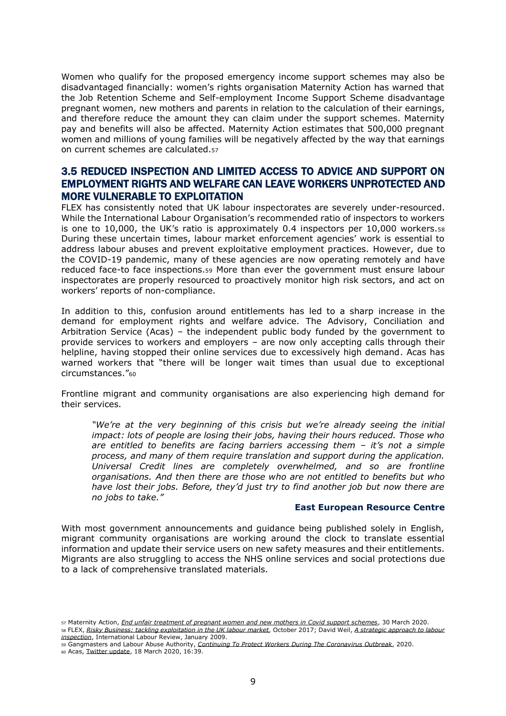Women who qualify for the proposed emergency income support schemes may also be disadvantaged financially: women's rights organisation Maternity Action has warned that the Job Retention Scheme and Self-employment Income Support Scheme disadvantage pregnant women, new mothers and parents in relation to the calculation of their earnings, and therefore reduce the amount they can claim under the support schemes. Maternity pay and benefits will also be affected. Maternity Action estimates that 500,000 pregnant women and millions of young families will be negatively affected by the way that earnings on current schemes are calculated.<sup>57</sup>

### 3.5 REDUCED INSPECTION AND LIMITED ACCESS TO ADVICE AND SUPPORT ON EMPLOYMENT RIGHTS AND WELFARE CAN LEAVE WORKERS UNPROTECTED AND MORE VULNERABLE TO EXPLOITATION

FLEX has consistently noted that UK labour inspectorates are severely under-resourced. While the International Labour Organisation's recommended ratio of inspectors to workers is one to 10,000, the UK's ratio is approximately 0.4 inspectors per 10,000 workers. $58$ During these uncertain times, labour market enforcement agencies' work is essential to address labour abuses and prevent exploitative employment practices. However, due to the COVID-19 pandemic, many of these agencies are now operating remotely and have reduced face-to face inspections.<sup>59</sup> More than ever the government must ensure labour inspectorates are properly resourced to proactively monitor high risk sectors, and act on workers' reports of non-compliance.

In addition to this, confusion around entitlements has led to a sharp increase in the demand for employment rights and welfare advice. The Advisory, Conciliation and Arbitration Service (Acas) – the independent public body funded by the government to provide services to workers and employers – are now only accepting calls through their helpline, having stopped their online services due to excessively high demand. Acas has warned workers that "there will be longer wait times than usual due to exceptional circumstances."<sup>60</sup>

Frontline migrant and community organisations are also experiencing high demand for their services.

*"We're at the very beginning of this crisis but we're already seeing the initial impact: lots of people are losing their jobs, having their hours reduced. Those who are entitled to benefits are facing barriers accessing them – it's not a simple process, and many of them require translation and support during the application. Universal Credit lines are completely overwhelmed, and so are frontline organisations. And then there are those who are not entitled to benefits but who have lost their jobs. Before, they'd just try to find another job but now there are no jobs to take."*

#### **East European Resource Centre**

With most government announcements and guidance being published solely in English, migrant community organisations are working around the clock to translate essential information and update their service users on new safety measures and their entitlements. Migrants are also struggling to access the NHS online services and social protections due to a lack of comprehensive translated materials.

<sup>59</sup> Gangmasters and Labour Abuse Authority, *[Continuing To Protect Workers During The Coronavirus Outbreak](https://www.gla.gov.uk/whats-new/latest-press-releases/17032020-continuing-to-protect-workers-during-the-coronavirus-outbreak/%3e)*, 2020.

<sup>57</sup> Maternity Action, *[End unfair treatment of pregnant women and new mothers in Covid support schemes](https://maternityaction.org.uk/2020/03/end-unfair-treatment-of-pregnant-women-and-new-mothers-in-covid-support-schemes/#covidmaternity)*, 30 March 2020. <sup>58</sup> FLEX, *[Risky Business: tackling exploitation in the UK labour market,](https://www.labourexploitation.org/publications/risky-business-tackling-exploitation-uk-labour-market)* October 2017; David Weil, *[A strategic approach to labour](https://onlinelibrary.wiley.com/doi/epdf/10.1111/j.1564-913X.2008.00040.x)  [inspection](https://onlinelibrary.wiley.com/doi/epdf/10.1111/j.1564-913X.2008.00040.x)*, International Labour Review, January 2009.

<sup>60</sup> Acas[, Twitter update,](https://twitter.com/acasorguk/status/1240317024984842240) 18 March 2020, 16:39.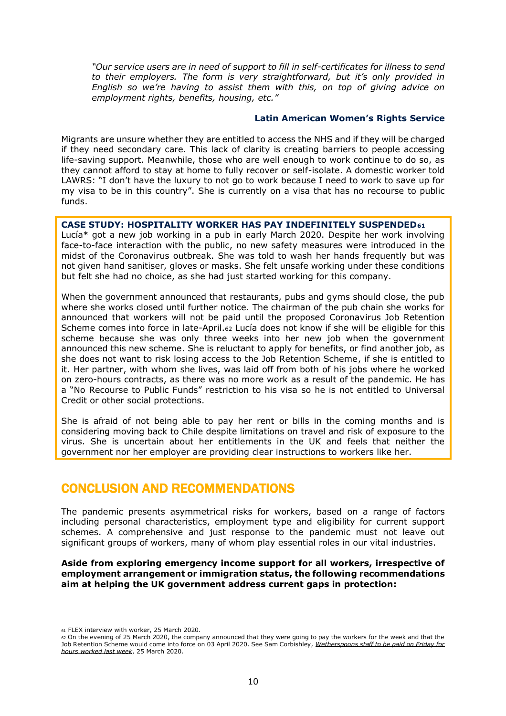*"Our service users are in need of support to fill in self-certificates for illness to send to their employers. The form is very straightforward, but it's only provided in English so we're having to assist them with this, on top of giving advice on employment rights, benefits, housing, etc."*

#### **Latin American Women's Rights Service**

Migrants are unsure whether they are entitled to access the NHS and if they will be charged if they need secondary care. This lack of clarity is creating barriers to people accessing life-saving support. Meanwhile, those who are well enough to work continue to do so, as they cannot afford to stay at home to fully recover or self-isolate. A domestic worker told LAWRS: "I don't have the luxury to not go to work because I need to work to save up for my visa to be in this country". She is currently on a visa that has no recourse to public funds.

#### **CASE STUDY: HOSPITALITY WORKER HAS PAY INDEFINITELY SUSPENDED<sup>61</sup>**

Lucía\* got a new job working in a pub in early March 2020. Despite her work involving face-to-face interaction with the public, no new safety measures were introduced in the midst of the Coronavirus outbreak. She was told to wash her hands frequently but was not given hand sanitiser, gloves or masks. She felt unsafe working under these conditions but felt she had no choice, as she had just started working for this company.

When the government announced that restaurants, pubs and gyms should close, the pub where she works closed until further notice. The chairman of the pub chain she works for announced that workers will not be paid until the proposed Coronavirus Job Retention Scheme comes into force in late-April.<sup>62</sup> Lucía does not know if she will be eligible for this scheme because she was only three weeks into her new job when the government announced this new scheme. She is reluctant to apply for benefits, or find another job, as she does not want to risk losing access to the Job Retention Scheme, if she is entitled to it. Her partner, with whom she lives, was laid off from both of his jobs where he worked on zero-hours contracts, as there was no more work as a result of the pandemic. He has a "No Recourse to Public Funds" restriction to his visa so he is not entitled to Universal Credit or other social protections.

She is afraid of not being able to pay her rent or bills in the coming months and is considering moving back to Chile despite limitations on travel and risk of exposure to the virus. She is uncertain about her entitlements in the UK and feels that neither the government nor her employer are providing clear instructions to workers like her.

# CONCLUSION AND RECOMMENDATIONS

The pandemic presents asymmetrical risks for workers, based on a range of factors including personal characteristics, employment type and eligibility for current support schemes. A comprehensive and just response to the pandemic must not leave out significant groups of workers, many of whom play essential roles in our vital industries.

#### **Aside from exploring emergency income support for all workers, irrespective of employment arrangement or immigration status, the following recommendations aim at helping the UK government address current gaps in protection:**

<sup>61</sup> FLEX interview with worker, 25 March 2020.

<sup>62</sup> On the evening of 25 March 2020, the company announced that they were going to pay the workers for the week and that the Job Retention Scheme would come into force on 03 April 2020. See Sam Corbishley, *[Wetherspoons staff to be paid on Friday for](https://metro.co.uk/2020/03/25/wetherspoons-staff-paid-friday-hours-worked-last-week-12456560/)  [hours worked last week](https://metro.co.uk/2020/03/25/wetherspoons-staff-paid-friday-hours-worked-last-week-12456560/)*, 25 March 2020.